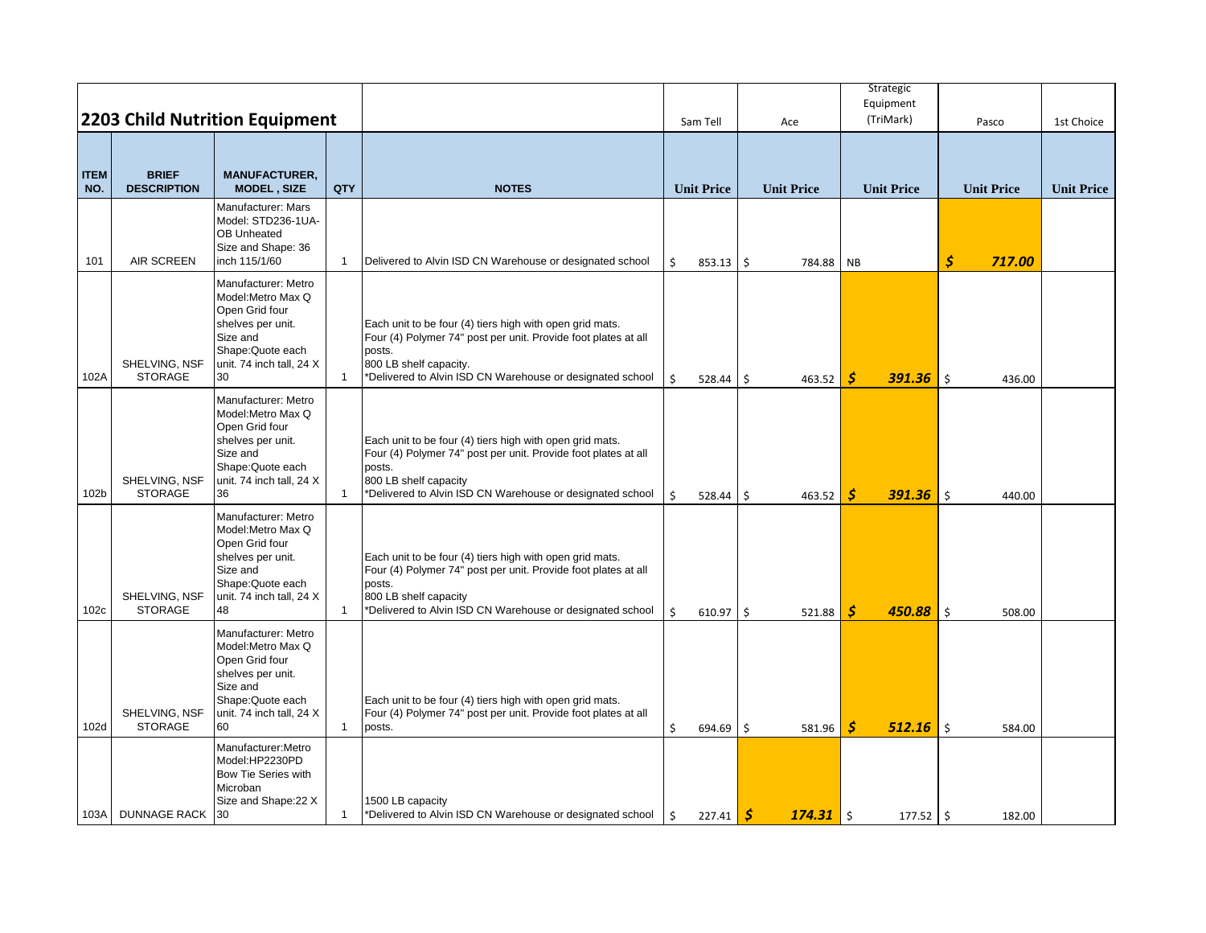|                    |                                    |                                                                                                                                                     |                |                                                                                                                                                                                                                             |              |                   |                    | Strategic<br>Equipment |                        |                   |
|--------------------|------------------------------------|-----------------------------------------------------------------------------------------------------------------------------------------------------|----------------|-----------------------------------------------------------------------------------------------------------------------------------------------------------------------------------------------------------------------------|--------------|-------------------|--------------------|------------------------|------------------------|-------------------|
|                    |                                    | <b>2203 Child Nutrition Equipment</b>                                                                                                               |                |                                                                                                                                                                                                                             |              | Sam Tell          | Ace                | (TriMark)              | Pasco                  | 1st Choice        |
| <b>ITEM</b><br>NO. | <b>BRIEF</b><br><b>DESCRIPTION</b> | <b>MANUFACTURER,</b><br><b>MODEL, SIZE</b>                                                                                                          | QTY            | <b>NOTES</b>                                                                                                                                                                                                                |              | <b>Unit Price</b> | <b>Unit Price</b>  | <b>Unit Price</b>      | <b>Unit Price</b>      | <b>Unit Price</b> |
| 101                | <b>AIR SCREEN</b>                  | Manufacturer: Mars<br>Model: STD236-1UA-<br>OB Unheated<br>Size and Shape: 36<br>inch 115/1/60                                                      | $\mathbf{1}$   | Delivered to Alvin ISD CN Warehouse or designated school                                                                                                                                                                    | \$           | 853.13            | \$<br>784.88       | <b>NB</b>              | \$<br>717.00           |                   |
| 102A               | SHELVING, NSF<br><b>STORAGE</b>    | Manufacturer: Metro<br>Model: Metro Max Q<br>Open Grid four<br>shelves per unit.<br>Size and<br>Shape: Quote each<br>unit. 74 inch tall, 24 X<br>30 | $\overline{1}$ | Each unit to be four (4) tiers high with open grid mats.<br>Four (4) Polymer 74" post per unit. Provide foot plates at all<br>posts.<br>800 LB shelf capacity.<br>*Delivered to Alvin ISD CN Warehouse or designated school | \$           | 528.44            | \$<br>463.52       | S<br>$391.36$   \$     | 436.00                 |                   |
| 102b               | SHELVING, NSF<br><b>STORAGE</b>    | Manufacturer: Metro<br>Model: Metro Max Q<br>Open Grid four<br>shelves per unit.<br>Size and<br>Shape: Quote each<br>unit. 74 inch tall, 24 X<br>36 | $\mathbf{1}$   | Each unit to be four (4) tiers high with open grid mats.<br>Four (4) Polymer 74" post per unit. Provide foot plates at all<br>posts.<br>800 LB shelf capacity<br>*Delivered to Alvin ISD CN Warehouse or designated school  | \$           | 528.44            | 463.52<br>\$       | Ś<br><b>391.36</b>     | $\mathsf{S}$<br>440.00 |                   |
| 102c               | SHELVING, NSF<br><b>STORAGE</b>    | Manufacturer: Metro<br>Model: Metro Max Q<br>Open Grid four<br>shelves per unit.<br>Size and<br>Shape:Quote each<br>unit. 74 inch tall, 24 X<br>48  | $\mathbf{1}$   | Each unit to be four (4) tiers high with open grid mats.<br>Four (4) Polymer 74" post per unit. Provide foot plates at all<br>posts.<br>800 LB shelf capacity<br>*Delivered to Alvin ISD CN Warehouse or designated school  | Ś.           | $610.97$ \$       | 521.88             | \$<br>$450.88$   \$    | 508.00                 |                   |
| 102d               | SHELVING, NSF<br><b>STORAGE</b>    | Manufacturer: Metro<br>Model: Metro Max Q<br>Open Grid four<br>shelves per unit.<br>Size and<br>Shape: Quote each<br>unit. 74 inch tall, 24 X<br>60 | $\mathbf{1}$   | Each unit to be four (4) tiers high with open grid mats.<br>Four (4) Polymer 74" post per unit. Provide foot plates at all<br>posts.                                                                                        | \$           | 694.69            | Ŝ.<br>581.96       | Ś<br>$512.16$   \$     | 584.00                 |                   |
| 103A               | <b>DUNNAGE RACK</b>                | Manufacturer: Metro<br>Model:HP2230PD<br>Bow Tie Series with<br>Microban<br>Size and Shape: 22 X<br>30                                              | $\mathbf{1}$   | 1500 LB capacity<br>*Delivered to Alvin ISD CN Warehouse or designated school                                                                                                                                               | $\mathsf{S}$ | 227.41            | -\$<br>$174.31$ \$ | $177.52$ \$            | 182.00                 |                   |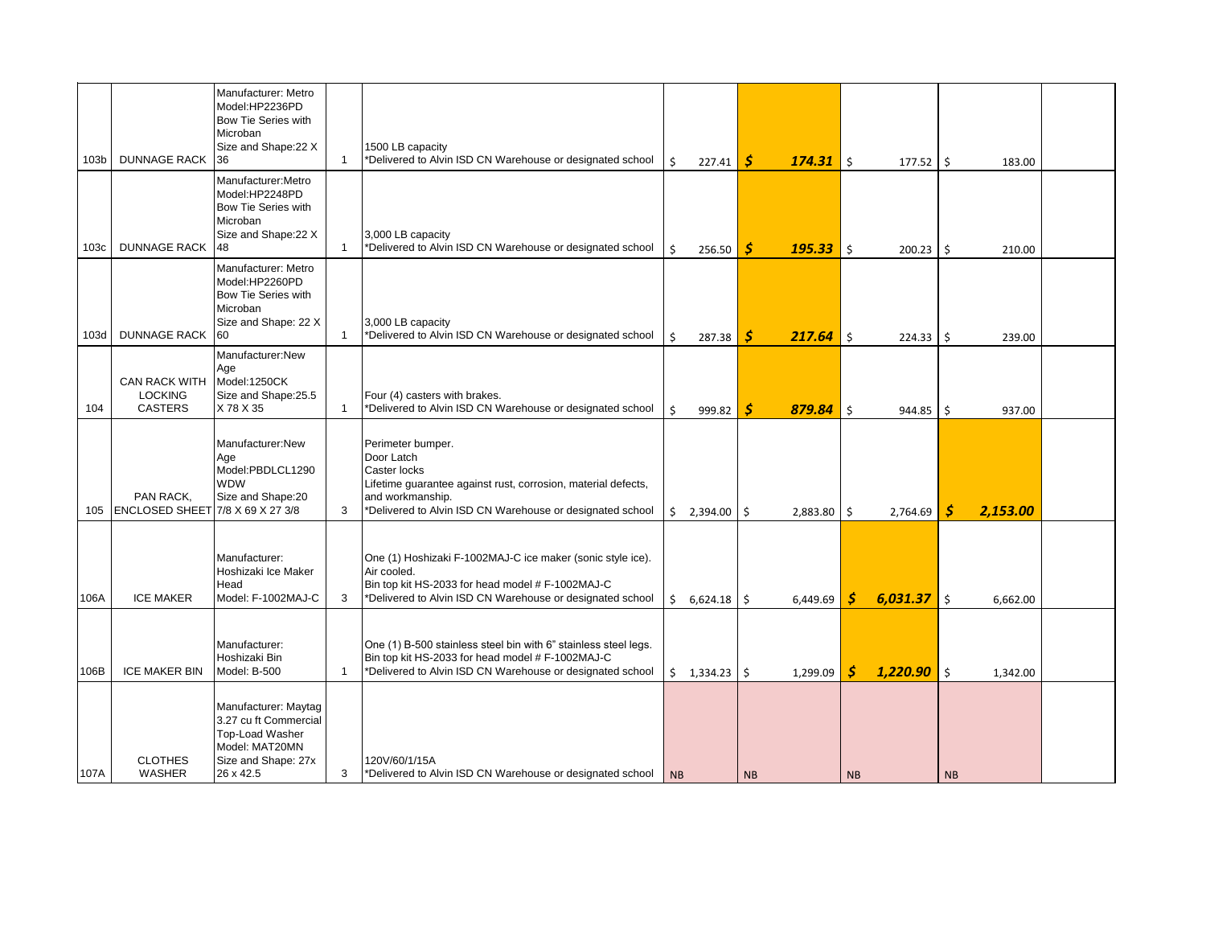|                  |                                                          | Manufacturer: Metro<br>Model:HP2236PD<br>Bow Tie Series with<br>Microban<br>Size and Shape:22 X                        |              | 1500 LB capacity                                                                                                                                                                                  |           |            |           |             |                    |             |           |          |  |
|------------------|----------------------------------------------------------|------------------------------------------------------------------------------------------------------------------------|--------------|---------------------------------------------------------------------------------------------------------------------------------------------------------------------------------------------------|-----------|------------|-----------|-------------|--------------------|-------------|-----------|----------|--|
| 103 <sub>b</sub> | <b>DUNNAGE RACK</b>                                      | 36                                                                                                                     | $\mathbf{1}$ | *Delivered to Alvin ISD CN Warehouse or designated school                                                                                                                                         | Ŝ.        | 227.41     | s         | 174.31      | Ś.                 | 177.52      | \$        | 183.00   |  |
| 103c             | <b>DUNNAGE RACK</b>                                      | Manufacturer: Metro<br>Model:HP2248PD<br>Bow Tie Series with<br>Microban<br>Size and Shape: 22 X<br>48                 | $\mathbf{1}$ | 3,000 LB capacity<br>*Delivered to Alvin ISD CN Warehouse or designated school                                                                                                                    | Ŝ.        | 256.50     | S         | $195.33$ \$ |                    | $200.23$ \$ |           | 210.00   |  |
| 103d             | <b>DUNNAGE RACK</b>                                      | Manufacturer: Metro<br>Model:HP2260PD<br>Bow Tie Series with<br>Microban<br>Size and Shape: 22 X<br>60                 | $\mathbf{1}$ | 3,000 LB capacity<br>*Delivered to Alvin ISD CN Warehouse or designated school                                                                                                                    | Ś.        | 287.38     | S         | 217.64      | \$                 | 224.33      | \$        | 239.00   |  |
| 104              | <b>CAN RACK WITH</b><br><b>LOCKING</b><br><b>CASTERS</b> | Manufacturer:New<br>Age<br>Model:1250CK<br>Size and Shape:25.5<br>X78 X35                                              | $\mathbf{1}$ | Four (4) casters with brakes.<br>*Delivered to Alvin ISD CN Warehouse or designated school                                                                                                        | Ś.        | 999.82     | Ŝ         | 879.84      | $\mathsf{\hat{S}}$ | 944.85      | \$        | 937.00   |  |
| 105              | PAN RACK,<br>ENCLOSED SHEET 7/8 X 69 X 27 3/8            | Manufacturer:New<br>Age<br>Model:PBDLCL1290<br><b>WDW</b><br>Size and Shape:20                                         | 3            | Perimeter bumper.<br>Door Latch<br>Caster locks<br>Lifetime guarantee against rust, corrosion, material defects,<br>and workmanship.<br>*Delivered to Alvin ISD CN Warehouse or designated school |           | \$2,394.00 | Ŝ.        | 2,883.80 \$ |                    | 2,764.69    | S         | 2,153.00 |  |
| 106A             | <b>ICE MAKER</b>                                         | Manufacturer:<br>Hoshizaki Ice Maker<br>Head<br>Model: F-1002MAJ-C                                                     | 3            | One (1) Hoshizaki F-1002MAJ-C ice maker (sonic style ice).<br>Air cooled.<br>Bin top kit HS-2033 for head model # F-1002MAJ-C<br>*Delivered to Alvin ISD CN Warehouse or designated school        |           | \$6,624.18 |           | 6,449.69    | Ŝ                  | 6,031.37    | Ś.        | 6,662.00 |  |
| 106B             | <b>ICE MAKER BIN</b>                                     | Manufacturer:<br>Hoshizaki Bin<br>Model: B-500                                                                         | $\mathbf{1}$ | One (1) B-500 stainless steel bin with 6" stainless steel legs.<br>Bin top kit HS-2033 for head model # F-1002MAJ-C<br>*Delivered to Alvin ISD CN Warehouse or designated school                  |           | \$1,334.23 | Ŝ.        | 1,299.09    | S                  | 1,220.90    | \$        | 1,342.00 |  |
| 107A             | <b>CLOTHES</b><br><b>WASHER</b>                          | Manufacturer: Maytag<br>3.27 cu ft Commercial<br>Top-Load Washer<br>Model: MAT20MN<br>Size and Shape: 27x<br>26 x 42.5 | 3            | 120V/60/1/15A<br>*Delivered to Alvin ISD CN Warehouse or designated school                                                                                                                        | <b>NB</b> |            | <b>NB</b> |             | <b>NB</b>          |             | <b>NB</b> |          |  |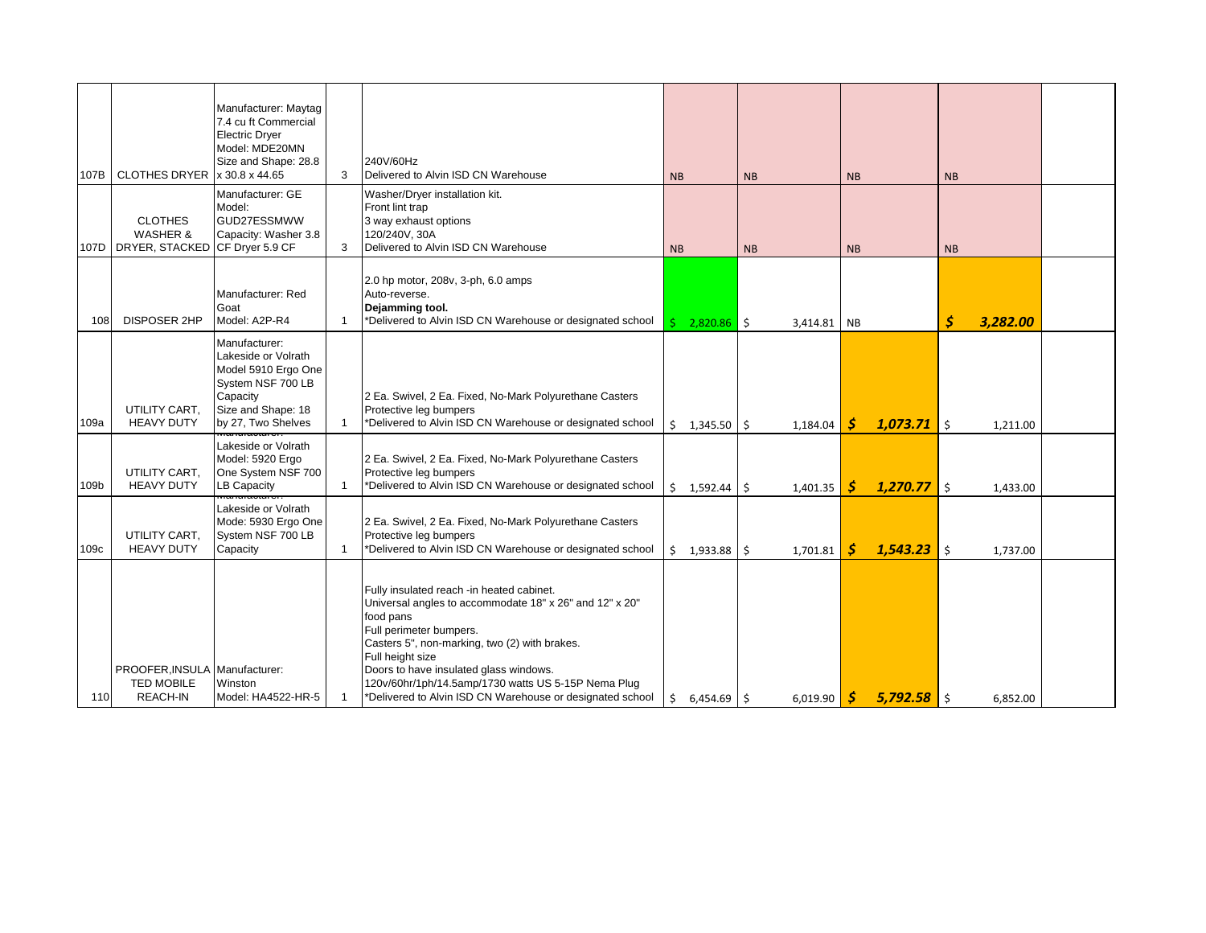|        |                                                       | Manufacturer: Maytag<br>7.4 cu ft Commercial |                |                                                                                                      |           |               |           |          |           |          |           |          |  |
|--------|-------------------------------------------------------|----------------------------------------------|----------------|------------------------------------------------------------------------------------------------------|-----------|---------------|-----------|----------|-----------|----------|-----------|----------|--|
|        |                                                       | <b>Electric Dryer</b>                        |                |                                                                                                      |           |               |           |          |           |          |           |          |  |
|        |                                                       | Model: MDE20MN<br>Size and Shape: 28.8       |                | 240V/60Hz                                                                                            |           |               |           |          |           |          |           |          |  |
| 107B   | CLOTHES DRYER x 30.8 x 44.65                          |                                              | 3              | Delivered to Alvin ISD CN Warehouse                                                                  | <b>NB</b> |               | <b>NB</b> |          | <b>NB</b> |          | <b>NB</b> |          |  |
|        |                                                       | Manufacturer: GE<br>Model:                   |                | Washer/Dryer installation kit.<br>Front lint trap                                                    |           |               |           |          |           |          |           |          |  |
|        | <b>CLOTHES</b>                                        | GUD27ESSMWW                                  |                | 3 way exhaust options                                                                                |           |               |           |          |           |          |           |          |  |
| 107D - | <b>WASHER &amp;</b><br>DRYER, STACKED CF Dryer 5.9 CF | Capacity: Washer 3.8                         | 3              | 120/240V, 30A<br>Delivered to Alvin ISD CN Warehouse                                                 | <b>NB</b> |               | <b>NB</b> |          | <b>NB</b> |          | <b>NB</b> |          |  |
|        |                                                       |                                              |                |                                                                                                      |           |               |           |          |           |          |           |          |  |
|        |                                                       | Manufacturer: Red                            |                | 2.0 hp motor, 208v, 3-ph, 6.0 amps<br>Auto-reverse.                                                  |           |               |           |          |           |          |           |          |  |
| 108    | <b>DISPOSER 2HP</b>                                   | Goat<br>Model: A2P-R4                        | $\mathbf{1}$   | Dejamming tool.<br>*Delivered to Alvin ISD CN Warehouse or designated school                         |           |               |           |          |           |          | \$        | 3,282.00 |  |
|        |                                                       | Manufacturer:                                |                |                                                                                                      |           | $2,820.86$ \$ |           | 3,414.81 | <b>NB</b> |          |           |          |  |
|        |                                                       | Lakeside or Volrath                          |                |                                                                                                      |           |               |           |          |           |          |           |          |  |
|        |                                                       | Model 5910 Ergo One<br>System NSF 700 LB     |                |                                                                                                      |           |               |           |          |           |          |           |          |  |
|        | UTILITY CART,                                         | Capacity<br>Size and Shape: 18               |                | 2 Ea. Swivel, 2 Ea. Fixed, No-Mark Polyurethane Casters<br>Protective leg bumpers                    |           |               |           |          |           |          |           |          |  |
| 109a   | <b>HEAVY DUTY</b>                                     | by 27, Two Shelves                           | 1              | *Delivered to Alvin ISD CN Warehouse or designated school                                            | Ś.        | 1,345.50      | Ŝ.        | 1,184.04 | .S        | 1,073.71 | Ŝ.        | 1,211.00 |  |
|        |                                                       | Lakeside or Volrath                          |                |                                                                                                      |           |               |           |          |           |          |           |          |  |
|        | UTILITY CART.                                         | Model: 5920 Ergo<br>One System NSF 700       |                | 2 Ea. Swivel, 2 Ea. Fixed, No-Mark Polyurethane Casters<br>Protective leg bumpers                    |           |               |           |          |           |          |           |          |  |
| 109b   | <b>HEAVY DUTY</b>                                     | <b>LB Capacity</b><br>a <del>naraotaro</del> | $\overline{1}$ | *Delivered to Alvin ISD CN Warehouse or designated school                                            |           | \$1,592.44    | Ŝ.        | 1,401.35 | S         | 1,270.77 | \$        | 1,433.00 |  |
|        |                                                       | Lakeside or Volrath<br>Mode: 5930 Ergo One   |                | 2 Ea. Swivel, 2 Ea. Fixed, No-Mark Polyurethane Casters                                              |           |               |           |          |           |          |           |          |  |
|        | UTILITY CART,                                         | System NSF 700 LB                            |                | Protective leg bumpers                                                                               |           |               |           |          |           |          |           |          |  |
| 109c   | <b>HEAVY DUTY</b>                                     | Capacity                                     | $\mathbf{1}$   | *Delivered to Alvin ISD CN Warehouse or designated school                                            | Ś.        | 1,933.88      | Ŝ.        | 1,701.81 | S         | 1,543.23 | Ś.        | 1,737.00 |  |
|        |                                                       |                                              |                |                                                                                                      |           |               |           |          |           |          |           |          |  |
|        |                                                       |                                              |                | Fully insulated reach -in heated cabinet.<br>Universal angles to accommodate 18" x 26" and 12" x 20" |           |               |           |          |           |          |           |          |  |
|        |                                                       |                                              |                | food pans<br>Full perimeter bumpers.                                                                 |           |               |           |          |           |          |           |          |  |
|        |                                                       |                                              |                | Casters 5", non-marking, two (2) with brakes.                                                        |           |               |           |          |           |          |           |          |  |
|        | PROOFER, INSULA Manufacturer:                         |                                              |                | Full height size<br>Doors to have insulated glass windows.                                           |           |               |           |          |           |          |           |          |  |
|        | <b>TED MOBILE</b>                                     | Winston                                      |                | 120v/60hr/1ph/14.5amp/1730 watts US 5-15P Nema Plug                                                  |           |               |           |          |           |          |           |          |  |
| 110    | REACH-IN                                              | Model: HA4522-HR-5                           | $\mathbf{1}$   | *Delivered to Alvin ISD CN Warehouse or designated school                                            | Ŝ.        | $6,454.69$ \$ |           | 6,019.90 | -S        | 5.792.58 | \$        | 6,852.00 |  |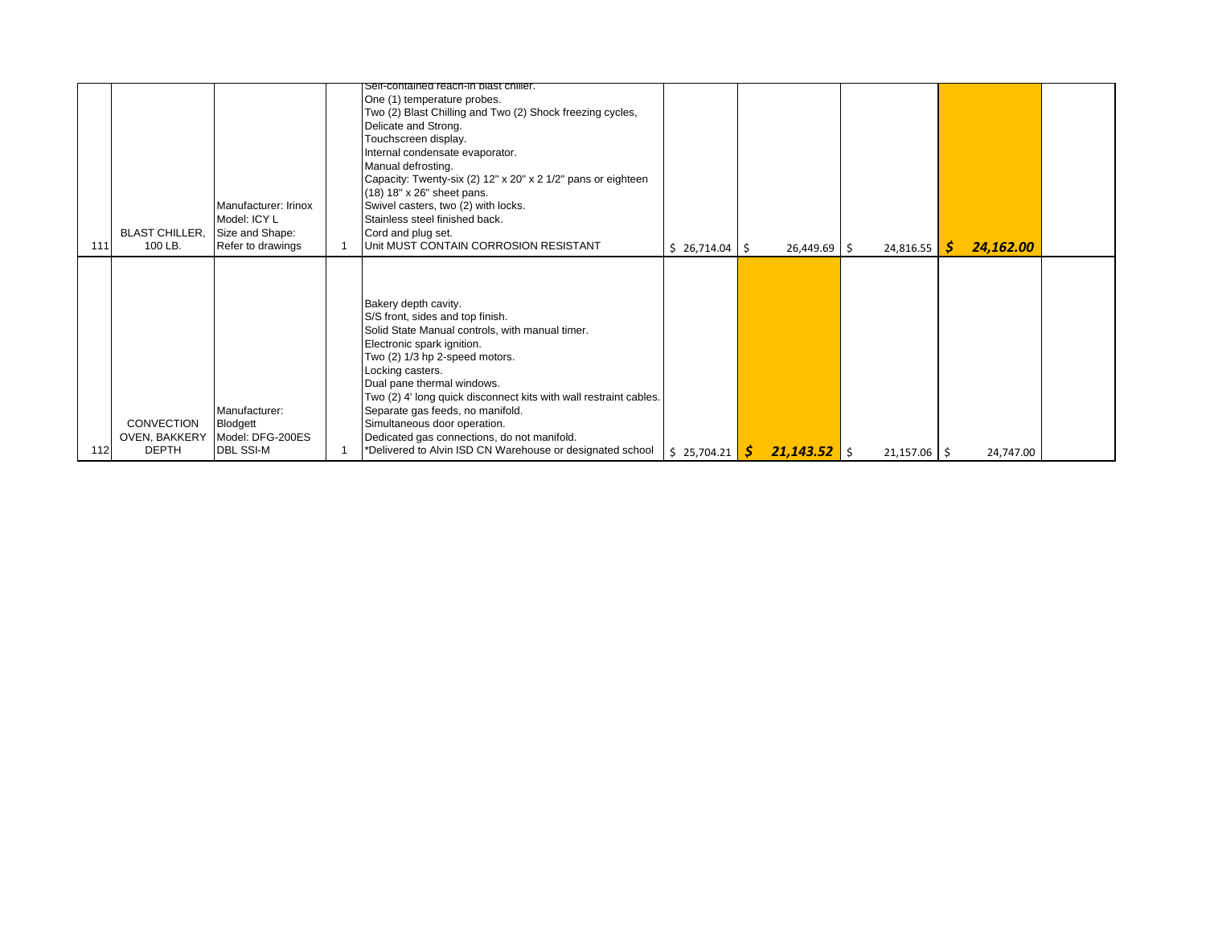| 111 | <b>BLAST CHILLER,</b><br>100 LB.                   | Manufacturer: Irinox<br>Model: ICY L<br>Size and Shape:<br>Refer to drawings | Self-contained reach-in blast chiller.<br>One (1) temperature probes.<br>Two (2) Blast Chilling and Two (2) Shock freezing cycles,<br>Delicate and Strong.<br>Touchscreen display.<br>Internal condensate evaporator.<br>Manual defrosting.<br>Capacity: Twenty-six (2) 12" x 20" x 2 1/2" pans or eighteen<br>(18) 18" x 26" sheet pans.<br>Swivel casters, two (2) with locks.<br>Stainless steel finished back.<br>Cord and plug set.<br>Unit MUST CONTAIN CORROSION RESISTANT  | $$26,714.04$ \$ | $26,449.69$ \$       | 24,816.55      | 24,162.00<br>-S |  |
|-----|----------------------------------------------------|------------------------------------------------------------------------------|------------------------------------------------------------------------------------------------------------------------------------------------------------------------------------------------------------------------------------------------------------------------------------------------------------------------------------------------------------------------------------------------------------------------------------------------------------------------------------|-----------------|----------------------|----------------|-----------------|--|
| 112 | CONVECTION<br><b>OVEN. BAKKERY</b><br><b>DEPTH</b> | Manufacturer:<br>Blodgett<br>Model: DFG-200ES<br><b>DBL SSI-M</b>            | Bakery depth cavity.<br>S/S front, sides and top finish.<br>Solid State Manual controls, with manual timer.<br>Electronic spark ignition.<br>Two (2) 1/3 hp 2-speed motors.<br>Locking casters.<br>Dual pane thermal windows.<br>Two (2) 4' long quick disconnect kits with wall restraint cables.<br>Separate gas feeds, no manifold.<br>Simultaneous door operation.<br>Dedicated gas connections, do not manifold.<br>*Delivered to Alvin ISD CN Warehouse or designated school | \$25,704.21     | $21,143.52$ \$<br>-S | $21,157.06$ \$ | 24,747.00       |  |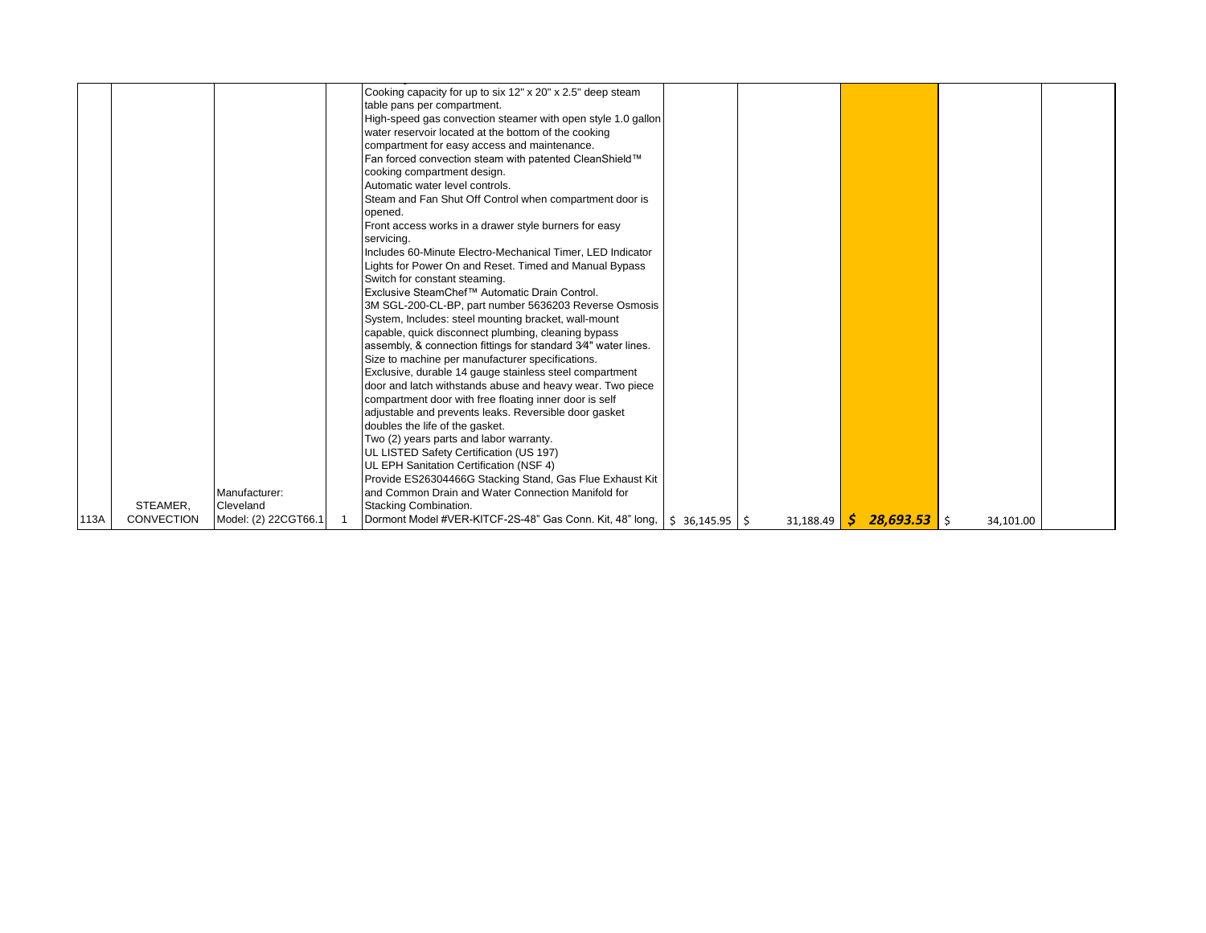|      |                   |                      | Cooking capacity for up to six 12" x 20" x 2.5" deep steam                   |           |                                                                                    |           |  |
|------|-------------------|----------------------|------------------------------------------------------------------------------|-----------|------------------------------------------------------------------------------------|-----------|--|
|      |                   |                      | table pans per compartment.                                                  |           |                                                                                    |           |  |
|      |                   |                      | High-speed gas convection steamer with open style 1.0 gallon                 |           |                                                                                    |           |  |
|      |                   |                      | water reservoir located at the bottom of the cooking                         |           |                                                                                    |           |  |
|      |                   |                      | compartment for easy access and maintenance.                                 |           |                                                                                    |           |  |
|      |                   |                      | Fan forced convection steam with patented CleanShield™                       |           |                                                                                    |           |  |
|      |                   |                      | cooking compartment design.                                                  |           |                                                                                    |           |  |
|      |                   |                      | Automatic water level controls.                                              |           |                                                                                    |           |  |
|      |                   |                      | Steam and Fan Shut Off Control when compartment door is                      |           |                                                                                    |           |  |
|      |                   |                      | opened.                                                                      |           |                                                                                    |           |  |
|      |                   |                      | Front access works in a drawer style burners for easy                        |           |                                                                                    |           |  |
|      |                   |                      | servicina.                                                                   |           |                                                                                    |           |  |
|      |                   |                      | Includes 60-Minute Electro-Mechanical Timer, LED Indicator                   |           |                                                                                    |           |  |
|      |                   |                      | Lights for Power On and Reset. Timed and Manual Bypass                       |           |                                                                                    |           |  |
|      |                   |                      | Switch for constant steaming.                                                |           |                                                                                    |           |  |
|      |                   |                      | Exclusive SteamChef™ Automatic Drain Control.                                |           |                                                                                    |           |  |
|      |                   |                      | 3M SGL-200-CL-BP, part number 5636203 Reverse Osmosis                        |           |                                                                                    |           |  |
|      |                   |                      | System, Includes: steel mounting bracket, wall-mount                         |           |                                                                                    |           |  |
|      |                   |                      | capable, quick disconnect plumbing, cleaning bypass                          |           |                                                                                    |           |  |
|      |                   |                      | assembly, & connection fittings for standard 3/4" water lines.               |           |                                                                                    |           |  |
|      |                   |                      | Size to machine per manufacturer specifications.                             |           |                                                                                    |           |  |
|      |                   |                      | Exclusive, durable 14 gauge stainless steel compartment                      |           |                                                                                    |           |  |
|      |                   |                      | door and latch withstands abuse and heavy wear. Two piece                    |           |                                                                                    |           |  |
|      |                   |                      | compartment door with free floating inner door is self                       |           |                                                                                    |           |  |
|      |                   |                      | adjustable and prevents leaks. Reversible door gasket                        |           |                                                                                    |           |  |
|      |                   |                      | doubles the life of the gasket.                                              |           |                                                                                    |           |  |
|      |                   |                      | Two (2) years parts and labor warranty.                                      |           |                                                                                    |           |  |
|      |                   |                      | UL LISTED Safety Certification (US 197)                                      |           |                                                                                    |           |  |
|      |                   |                      | UL EPH Sanitation Certification (NSF 4)                                      |           |                                                                                    |           |  |
|      |                   |                      | Provide ES26304466G Stacking Stand, Gas Flue Exhaust Kit                     |           |                                                                                    |           |  |
|      |                   | Manufacturer:        | and Common Drain and Water Connection Manifold for                           |           |                                                                                    |           |  |
|      | STEAMER.          | Cleveland            | Stacking Combination.                                                        |           |                                                                                    |           |  |
| 113A | <b>CONVECTION</b> | Model: (2) 22CGT66.1 | Dormont Model #VER-KITCF-2S-48" Gas Conn. Kit, 48" long,   \$ 36,145.95   \$ | 31,188.49 | $\begin{array}{ c c c c c }\n\hline\n\text{S} & 28,693.53 & \text{S}\n\end{array}$ | 34,101.00 |  |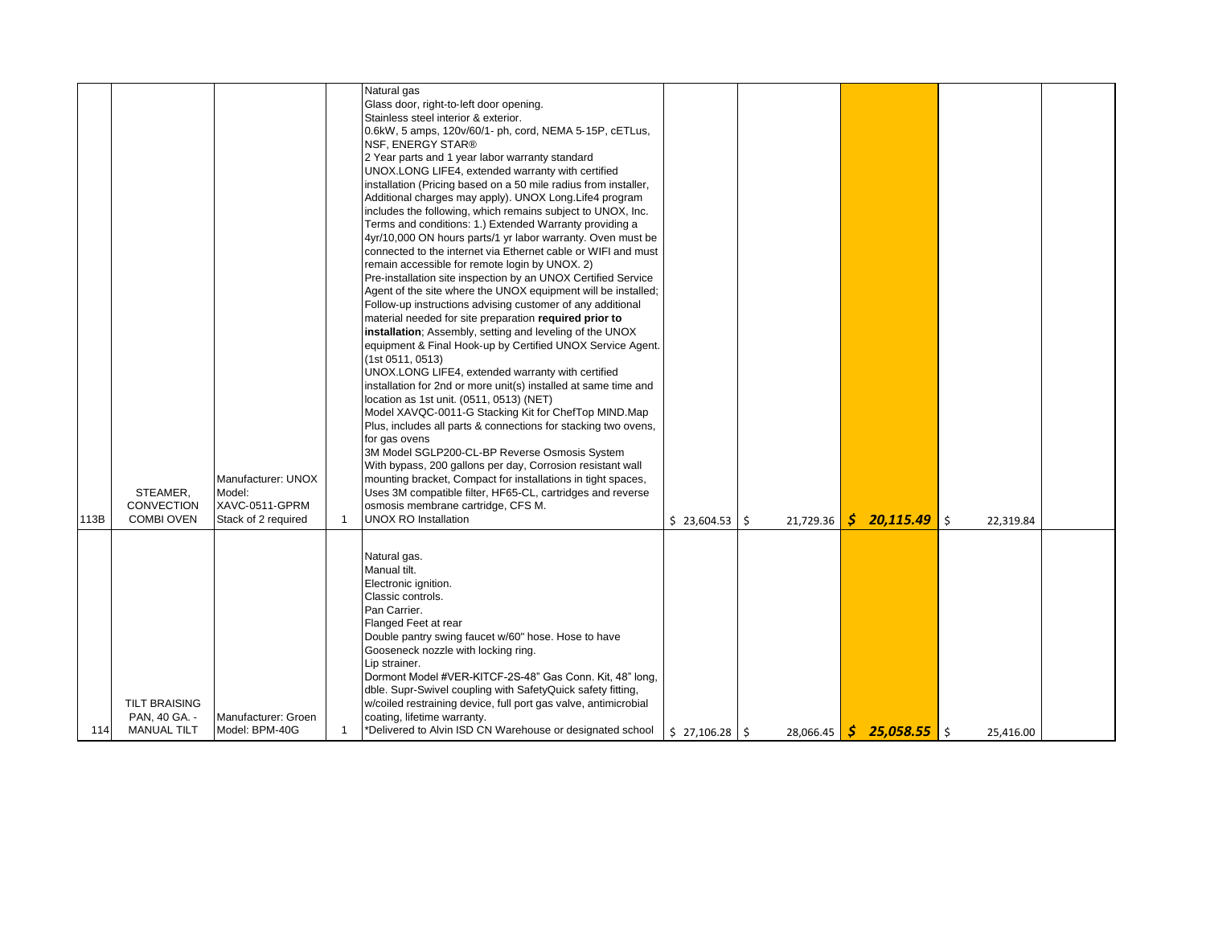|      |                      |                     |                | Natural gas                                                     |             |      |           |     |                            |                 |  |
|------|----------------------|---------------------|----------------|-----------------------------------------------------------------|-------------|------|-----------|-----|----------------------------|-----------------|--|
|      |                      |                     |                | Glass door, right-to-left door opening.                         |             |      |           |     |                            |                 |  |
|      |                      |                     |                | Stainless steel interior & exterior.                            |             |      |           |     |                            |                 |  |
|      |                      |                     |                | 0.6kW, 5 amps, 120v/60/1- ph, cord, NEMA 5-15P, cETLus,         |             |      |           |     |                            |                 |  |
|      |                      |                     |                | <b>NSF, ENERGY STAR®</b>                                        |             |      |           |     |                            |                 |  |
|      |                      |                     |                | 2 Year parts and 1 year labor warranty standard                 |             |      |           |     |                            |                 |  |
|      |                      |                     |                |                                                                 |             |      |           |     |                            |                 |  |
|      |                      |                     |                | UNOX.LONG LIFE4, extended warranty with certified               |             |      |           |     |                            |                 |  |
|      |                      |                     |                | installation (Pricing based on a 50 mile radius from installer, |             |      |           |     |                            |                 |  |
|      |                      |                     |                | Additional charges may apply). UNOX Long Life4 program          |             |      |           |     |                            |                 |  |
|      |                      |                     |                | includes the following, which remains subject to UNOX, Inc.     |             |      |           |     |                            |                 |  |
|      |                      |                     |                | Terms and conditions: 1.) Extended Warranty providing a         |             |      |           |     |                            |                 |  |
|      |                      |                     |                | 4yr/10,000 ON hours parts/1 yr labor warranty. Oven must be     |             |      |           |     |                            |                 |  |
|      |                      |                     |                | connected to the internet via Ethernet cable or WIFI and must   |             |      |           |     |                            |                 |  |
|      |                      |                     |                | remain accessible for remote login by UNOX. 2)                  |             |      |           |     |                            |                 |  |
|      |                      |                     |                |                                                                 |             |      |           |     |                            |                 |  |
|      |                      |                     |                | Pre-installation site inspection by an UNOX Certified Service   |             |      |           |     |                            |                 |  |
|      |                      |                     |                | Agent of the site where the UNOX equipment will be installed;   |             |      |           |     |                            |                 |  |
|      |                      |                     |                | Follow-up instructions advising customer of any additional      |             |      |           |     |                            |                 |  |
|      |                      |                     |                | material needed for site preparation required prior to          |             |      |           |     |                            |                 |  |
|      |                      |                     |                | installation; Assembly, setting and leveling of the UNOX        |             |      |           |     |                            |                 |  |
|      |                      |                     |                | equipment & Final Hook-up by Certified UNOX Service Agent.      |             |      |           |     |                            |                 |  |
|      |                      |                     |                | (1st 0511, 0513)                                                |             |      |           |     |                            |                 |  |
|      |                      |                     |                | UNOX.LONG LIFE4, extended warranty with certified               |             |      |           |     |                            |                 |  |
|      |                      |                     |                | installation for 2nd or more unit(s) installed at same time and |             |      |           |     |                            |                 |  |
|      |                      |                     |                |                                                                 |             |      |           |     |                            |                 |  |
|      |                      |                     |                | location as 1st unit. (0511, 0513) (NET)                        |             |      |           |     |                            |                 |  |
|      |                      |                     |                | Model XAVQC-0011-G Stacking Kit for ChefTop MIND.Map            |             |      |           |     |                            |                 |  |
|      |                      |                     |                | Plus, includes all parts & connections for stacking two ovens,  |             |      |           |     |                            |                 |  |
|      |                      |                     |                | for gas ovens                                                   |             |      |           |     |                            |                 |  |
|      |                      |                     |                | 3M Model SGLP200-CL-BP Reverse Osmosis System                   |             |      |           |     |                            |                 |  |
|      |                      |                     |                | With bypass, 200 gallons per day, Corrosion resistant wall      |             |      |           |     |                            |                 |  |
|      |                      | Manufacturer: UNOX  |                | mounting bracket, Compact for installations in tight spaces,    |             |      |           |     |                            |                 |  |
|      | STEAMER,             | Model:              |                | Uses 3M compatible filter, HF65-CL, cartridges and reverse      |             |      |           |     |                            |                 |  |
|      | CONVECTION           | XAVC-0511-GPRM      |                | osmosis membrane cartridge, CFS M.                              |             |      |           |     |                            |                 |  |
| 113B |                      |                     |                | <b>UNOX RO Installation</b>                                     |             |      |           |     |                            |                 |  |
|      | <b>COMBI OVEN</b>    | Stack of 2 required | $\overline{1}$ |                                                                 | \$23,604.53 | l \$ | 21,729.36 | \$. | 20,115.49                  | \$<br>22,319.84 |  |
|      |                      |                     |                |                                                                 |             |      |           |     |                            |                 |  |
|      |                      |                     |                | Natural gas.                                                    |             |      |           |     |                            |                 |  |
|      |                      |                     |                |                                                                 |             |      |           |     |                            |                 |  |
|      |                      |                     |                | Manual tilt.                                                    |             |      |           |     |                            |                 |  |
|      |                      |                     |                | Electronic ignition.                                            |             |      |           |     |                            |                 |  |
|      |                      |                     |                | Classic controls.                                               |             |      |           |     |                            |                 |  |
|      |                      |                     |                | Pan Carrier.                                                    |             |      |           |     |                            |                 |  |
|      |                      |                     |                | Flanged Feet at rear                                            |             |      |           |     |                            |                 |  |
|      |                      |                     |                | Double pantry swing faucet w/60" hose. Hose to have             |             |      |           |     |                            |                 |  |
|      |                      |                     |                | Gooseneck nozzle with locking ring.                             |             |      |           |     |                            |                 |  |
|      |                      |                     |                | Lip strainer.                                                   |             |      |           |     |                            |                 |  |
|      |                      |                     |                | Dormont Model #VER-KITCF-2S-48" Gas Conn. Kit, 48" long,        |             |      |           |     |                            |                 |  |
|      |                      |                     |                | dble. Supr-Swivel coupling with SafetyQuick safety fitting,     |             |      |           |     |                            |                 |  |
|      | <b>TILT BRAISING</b> |                     |                |                                                                 |             |      |           |     |                            |                 |  |
|      |                      |                     |                | w/coiled restraining device, full port gas valve, antimicrobial |             |      |           |     |                            |                 |  |
|      | PAN, 40 GA. -        | Manufacturer: Groen |                | coating, lifetime warranty.                                     |             |      |           |     |                            |                 |  |
| 114  | <b>MANUAL TILT</b>   | Model: BPM-40G      | $\mathbf{1}$   | *Delivered to Alvin ISD CN Warehouse or designated school       | \$27,106.28 |      | 28,066.45 |     | $\frac{1}{2}$ 25,058.55 \$ | 25,416.00       |  |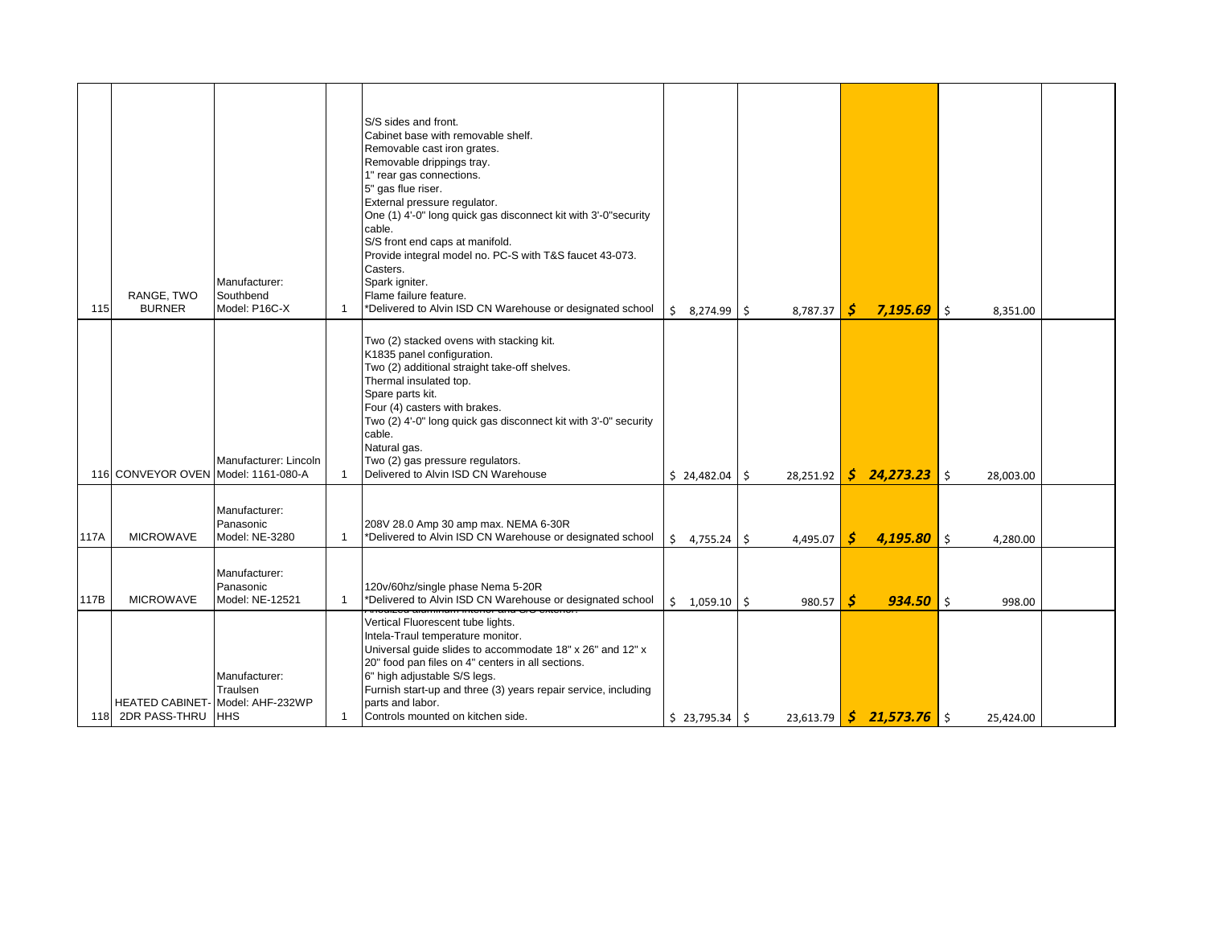|      |                                     | Manufacturer:                                                               |              | S/S sides and front.<br>Cabinet base with removable shelf.<br>Removable cast iron grates.<br>Removable drippings tray.<br>1" rear gas connections.<br>5" gas flue riser.<br>External pressure regulator.<br>One (1) 4'-0" long quick gas disconnect kit with 3'-0" security<br>cable.<br>S/S front end caps at manifold.<br>Provide integral model no. PC-S with T&S faucet 43-073.<br>Casters.<br>Spark igniter. |                     |           |    |                           |    |           |  |
|------|-------------------------------------|-----------------------------------------------------------------------------|--------------|-------------------------------------------------------------------------------------------------------------------------------------------------------------------------------------------------------------------------------------------------------------------------------------------------------------------------------------------------------------------------------------------------------------------|---------------------|-----------|----|---------------------------|----|-----------|--|
| 115  | RANGE, TWO<br><b>BURNER</b>         | Southbend<br>Model: P16C-X                                                  | $\mathbf{1}$ | Flame failure feature.<br>*Delivered to Alvin ISD CN Warehouse or designated school                                                                                                                                                                                                                                                                                                                               | \$<br>8,274.99 \$   | 8,787.37  | S  | 7,195.69                  | \$ | 8,351.00  |  |
|      | 116 CONVEYOR OVEN Model: 1161-080-A | Manufacturer: Lincoln                                                       |              | Two (2) stacked ovens with stacking kit.<br>K1835 panel configuration.<br>Two (2) additional straight take-off shelves.<br>Thermal insulated top.<br>Spare parts kit.<br>Four (4) casters with brakes.<br>Two (2) 4'-0" long quick gas disconnect kit with 3'-0" security<br>cable.<br>Natural gas.<br>Two (2) gas pressure regulators.<br>Delivered to Alvin ISD CN Warehouse                                    | $$24,482.04$ \$     | 28,251.92 | S. | 24,273.23                 | Ŝ. | 28,003.00 |  |
| 117A | <b>MICROWAVE</b>                    | Manufacturer:<br>Panasonic<br>Model: NE-3280                                | $\mathbf{1}$ | 208V 28.0 Amp 30 amp max. NEMA 6-30R<br>*Delivered to Alvin ISD CN Warehouse or designated school                                                                                                                                                                                                                                                                                                                 | Ś.<br>$4,755.24$ \$ | 4,495.07  | S  | $4,195.80$ \$             |    | 4,280.00  |  |
| 117B | <b>MICROWAVE</b>                    | Manufacturer:<br>Panasonic<br>Model: NE-12521                               | $\mathbf{1}$ | 120v/60hz/single phase Nema 5-20R<br>*Delivered to Alvin ISD CN Warehouse or designated school                                                                                                                                                                                                                                                                                                                    | $$1,059.10$ \$      | 980.57    | Ŝ  | $934.50$ s                |    | 998.00    |  |
|      | 118 2DR PASS-THRU                   | Manufacturer:<br>Traulsen<br>HEATED CABINET- Model: AHF-232WP<br><b>HHS</b> | $\mathbf{1}$ | Vertical Fluorescent tube lights.<br>Intela-Traul temperature monitor.<br>Universal guide slides to accommodate 18" x 26" and 12" x<br>20" food pan files on 4" centers in all sections.<br>6" high adjustable S/S legs.<br>Furnish start-up and three (3) years repair service, including<br>parts and labor.<br>Controls mounted on kitchen side.                                                               | $$23,795.34$ $$$    | 23,613.79 |    | $\sin 21,573.76$ $\sin 5$ |    | 25,424.00 |  |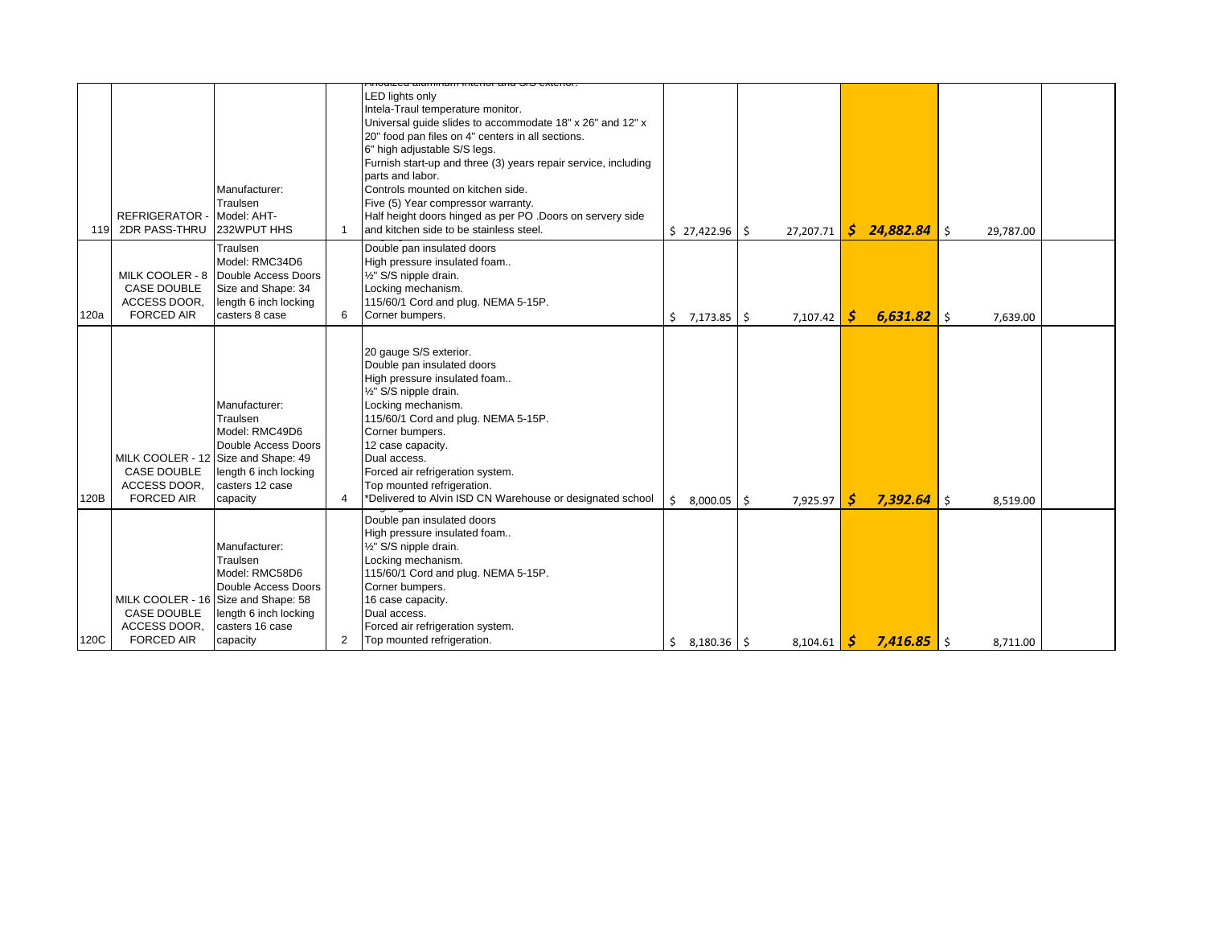|      |                                    |                                             |                | <u>ה להיטובאס כינס מותחומות המוחזמה ה</u>                                                      |             |     |           |    |               |           |           |  |
|------|------------------------------------|---------------------------------------------|----------------|------------------------------------------------------------------------------------------------|-------------|-----|-----------|----|---------------|-----------|-----------|--|
|      |                                    |                                             |                | <b>LED lights only</b>                                                                         |             |     |           |    |               |           |           |  |
|      |                                    |                                             |                | Intela-Traul temperature monitor.                                                              |             |     |           |    |               |           |           |  |
|      |                                    |                                             |                | Universal guide slides to accommodate 18" x 26" and 12" x                                      |             |     |           |    |               |           |           |  |
|      |                                    |                                             |                | 20" food pan files on 4" centers in all sections.                                              |             |     |           |    |               |           |           |  |
|      |                                    |                                             |                | 6" high adjustable S/S legs.<br>Furnish start-up and three (3) years repair service, including |             |     |           |    |               |           |           |  |
|      |                                    |                                             |                | parts and labor.                                                                               |             |     |           |    |               |           |           |  |
|      |                                    | Manufacturer:                               |                | Controls mounted on kitchen side.                                                              |             |     |           |    |               |           |           |  |
|      |                                    | Traulsen                                    |                | Five (5) Year compressor warranty.                                                             |             |     |           |    |               |           |           |  |
|      | <b>REFRIGERATOR</b>                | - Model: AHT-                               |                | Half height doors hinged as per PO .Doors on servery side                                      |             |     |           |    |               |           |           |  |
| 119  | 2DR PASS-THRU                      | 232WPUT HHS                                 |                | and kitchen side to be stainless steel.                                                        | \$27,422.96 | Ŝ.  | 27,207.71 | S  | 24,882.84     | Ś.        | 29,787.00 |  |
|      |                                    | Traulsen                                    |                | Double pan insulated doors                                                                     |             |     |           |    |               |           |           |  |
|      |                                    | Model: RMC34D6                              |                | High pressure insulated foam                                                                   |             |     |           |    |               |           |           |  |
|      |                                    | MILK COOLER - 8 Double Access Doors         |                | 1/2" S/S nipple drain.                                                                         |             |     |           |    |               |           |           |  |
|      | <b>CASE DOUBLE</b><br>ACCESS DOOR, | Size and Shape: 34<br>length 6 inch locking |                | Locking mechanism.<br>115/60/1 Cord and plug. NEMA 5-15P.                                      |             |     |           |    |               |           |           |  |
| 120a | <b>FORCED AIR</b>                  | casters 8 case                              | 6              | Corner bumpers.                                                                                |             |     |           | S. | $6,631.82$ \$ |           |           |  |
|      |                                    |                                             |                |                                                                                                | \$7,173.85  | -\$ | 7,107.42  |    |               |           | 7,639.00  |  |
|      |                                    |                                             |                |                                                                                                |             |     |           |    |               |           |           |  |
|      |                                    |                                             |                | 20 gauge S/S exterior.<br>Double pan insulated doors                                           |             |     |           |    |               |           |           |  |
|      |                                    |                                             |                | High pressure insulated foam                                                                   |             |     |           |    |               |           |           |  |
|      |                                    |                                             |                | 1/2" S/S nipple drain.                                                                         |             |     |           |    |               |           |           |  |
|      |                                    | Manufacturer:                               |                | Locking mechanism.                                                                             |             |     |           |    |               |           |           |  |
|      |                                    | Traulsen                                    |                | 115/60/1 Cord and plug. NEMA 5-15P.                                                            |             |     |           |    |               |           |           |  |
|      |                                    | Model: RMC49D6                              |                | Corner bumpers.                                                                                |             |     |           |    |               |           |           |  |
|      |                                    | Double Access Doors                         |                | 12 case capacity.                                                                              |             |     |           |    |               |           |           |  |
|      |                                    | MILK COOLER - 12 Size and Shape: 49         |                | Dual access.                                                                                   |             |     |           |    |               |           |           |  |
|      | CASE DOUBLE                        | length 6 inch locking                       |                | Forced air refrigeration system.                                                               |             |     |           |    |               |           |           |  |
|      | ACCESS DOOR.                       | casters 12 case                             |                | Top mounted refrigeration.                                                                     |             |     |           |    |               |           |           |  |
| 120B | <b>FORCED AIR</b>                  | capacity                                    | 4              | *Delivered to Alvin ISD CN Warehouse or designated school                                      | \$8.000.05  | Ŝ.  | 7,925.97  | S  | 7,392.64      | $\vert$ s | 8.519.00  |  |
|      |                                    |                                             |                | Double pan insulated doors                                                                     |             |     |           |    |               |           |           |  |
|      |                                    |                                             |                | High pressure insulated foam                                                                   |             |     |           |    |               |           |           |  |
|      |                                    | Manufacturer:<br>Traulsen                   |                | 1/2" S/S nipple drain.<br>Locking mechanism.                                                   |             |     |           |    |               |           |           |  |
|      |                                    | Model: RMC58D6                              |                | 115/60/1 Cord and plug. NEMA 5-15P.                                                            |             |     |           |    |               |           |           |  |
|      |                                    | Double Access Doors                         |                | Corner bumpers.                                                                                |             |     |           |    |               |           |           |  |
|      |                                    | MILK COOLER - 16 Size and Shape: 58         |                | 16 case capacity.                                                                              |             |     |           |    |               |           |           |  |
|      | <b>CASE DOUBLE</b>                 | length 6 inch locking                       |                | Dual access.                                                                                   |             |     |           |    |               |           |           |  |
|      | ACCESS DOOR.                       | casters 16 case                             |                | Forced air refrigeration system.                                                               |             |     |           |    |               |           |           |  |
| 120C | <b>FORCED AIR</b>                  | capacity                                    | $\overline{2}$ | Top mounted refrigeration.                                                                     | \$3,180.36  |     | 8,104.61  | S  | $7,416.85$ \$ |           | 8,711.00  |  |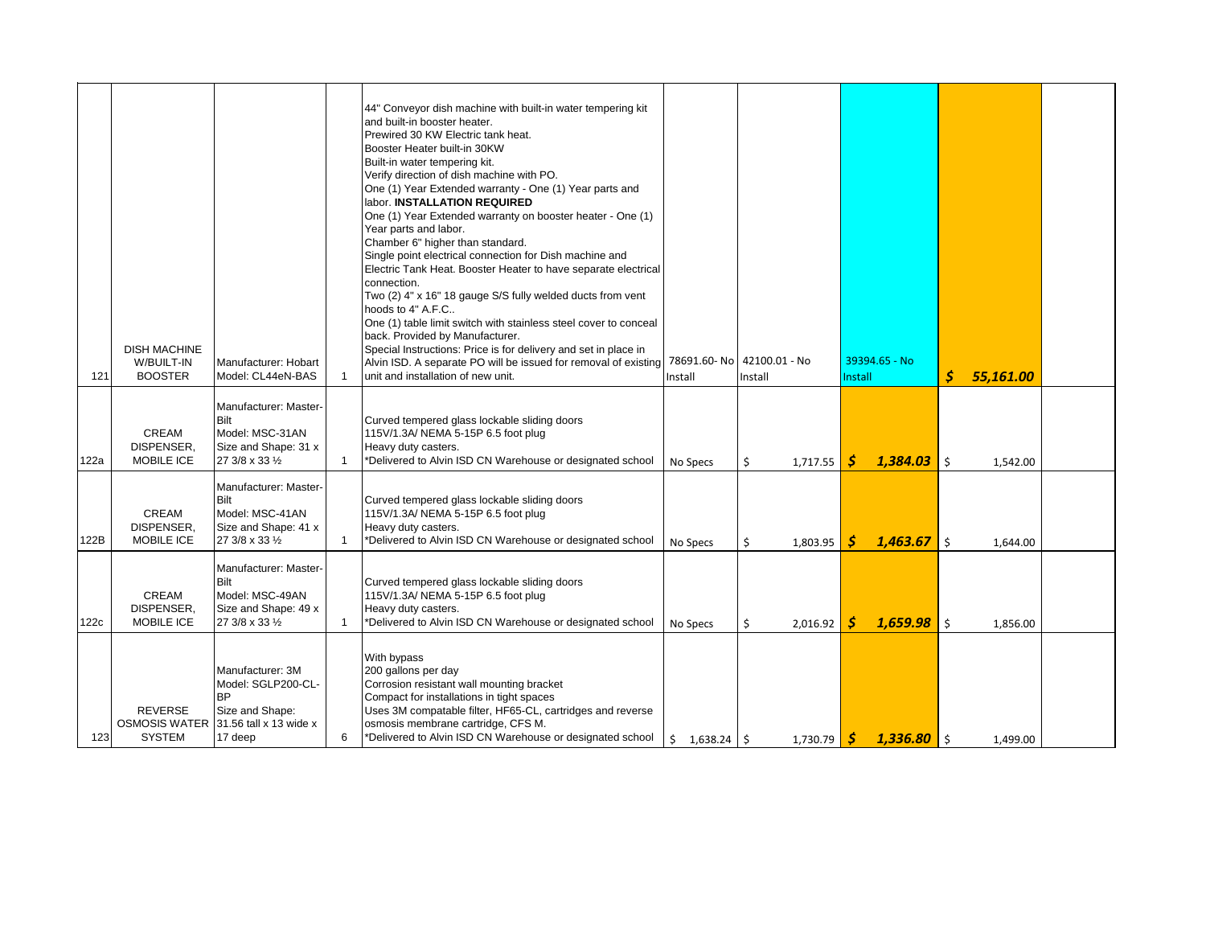| 121  | <b>DISH MACHINE</b><br>W/BUILT-IN<br><b>BOOSTER</b> | Manufacturer: Hobart<br>Model: CL44eN-BAS                                                                                 |              | 44" Conveyor dish machine with built-in water tempering kit<br>and built-in booster heater.<br>Prewired 30 KW Electric tank heat.<br>Booster Heater built-in 30KW<br>Built-in water tempering kit.<br>Verify direction of dish machine with PO.<br>One (1) Year Extended warranty - One (1) Year parts and<br>labor. <b>INSTALLATION REQUIRED</b><br>One (1) Year Extended warranty on booster heater - One (1)<br>Year parts and labor.<br>Chamber 6" higher than standard.<br>Single point electrical connection for Dish machine and<br>Electric Tank Heat. Booster Heater to have separate electrical<br>connection.<br>Two (2) 4" x 16" 18 gauge S/S fully welded ducts from vent<br>hoods to 4" A.F.C<br>One (1) table limit switch with stainless steel cover to conceal<br>back. Provided by Manufacturer.<br>Special Instructions: Price is for delivery and set in place in<br>Alvin ISD. A separate PO will be issued for removal of existing<br>unit and installation of new unit. | Install             | 78691.60- No 42100.01 - No<br>Install | 39394.65 - No<br><b>Install</b> | Ś            | 55,161.00 |  |
|------|-----------------------------------------------------|---------------------------------------------------------------------------------------------------------------------------|--------------|------------------------------------------------------------------------------------------------------------------------------------------------------------------------------------------------------------------------------------------------------------------------------------------------------------------------------------------------------------------------------------------------------------------------------------------------------------------------------------------------------------------------------------------------------------------------------------------------------------------------------------------------------------------------------------------------------------------------------------------------------------------------------------------------------------------------------------------------------------------------------------------------------------------------------------------------------------------------------------------------|---------------------|---------------------------------------|---------------------------------|--------------|-----------|--|
| 122a | CREAM<br>DISPENSER,<br><b>MOBILE ICE</b>            | Manufacturer: Master-<br>Bilt<br>Model: MSC-31AN<br>Size and Shape: 31 x<br>27 3/8 x 33 1/2                               | $\mathbf{1}$ | Curved tempered glass lockable sliding doors<br>115V/1.3A/ NEMA 5-15P 6.5 foot plug<br>Heavy duty casters.<br>*Delivered to Alvin ISD CN Warehouse or designated school                                                                                                                                                                                                                                                                                                                                                                                                                                                                                                                                                                                                                                                                                                                                                                                                                        | No Specs            | \$<br>1,717.55                        | 1,384.03<br>S                   | \$           | 1.542.00  |  |
| 122B | CREAM<br>DISPENSER,<br>MOBILE ICE                   | Manufacturer: Master-<br>Bilt<br>Model: MSC-41AN<br>Size and Shape: 41 x<br>27 3/8 x 33 1/2                               | $\mathbf{1}$ | Curved tempered glass lockable sliding doors<br>115V/1.3A/ NEMA 5-15P 6.5 foot plug<br>Heavy duty casters.<br>*Delivered to Alvin ISD CN Warehouse or designated school                                                                                                                                                                                                                                                                                                                                                                                                                                                                                                                                                                                                                                                                                                                                                                                                                        | No Specs            | Ś.<br>1.803.95                        | 1,463.67<br>S                   | Ŝ.           | 1.644.00  |  |
| 122c | CREAM<br>DISPENSER,<br><b>MOBILE ICE</b>            | Manufacturer: Master-<br>Bilt<br>Model: MSC-49AN<br>Size and Shape: 49 x<br>27 3/8 x 33 1/2                               | $\mathbf{1}$ | Curved tempered glass lockable sliding doors<br>115V/1.3A/ NEMA 5-15P 6.5 foot plug<br>Heavy duty casters.<br>*Delivered to Alvin ISD CN Warehouse or designated school                                                                                                                                                                                                                                                                                                                                                                                                                                                                                                                                                                                                                                                                                                                                                                                                                        | No Specs            | 2,016.92<br>Ś                         | 1.659.98<br>S                   | $\mathsf{I}$ | 1,856.00  |  |
| 123  | <b>REVERSE</b><br><b>SYSTEM</b>                     | Manufacturer: 3M<br>Model: SGLP200-CL-<br><b>BP</b><br>Size and Shape:<br>OSMOSIS WATER 31.56 tall x 13 wide x<br>17 deep | 6            | With bypass<br>200 gallons per day<br>Corrosion resistant wall mounting bracket<br>Compact for installations in tight spaces<br>Uses 3M compatable filter, HF65-CL, cartridges and reverse<br>osmosis membrane cartridge, CFS M.<br>*Delivered to Alvin ISD CN Warehouse or designated school                                                                                                                                                                                                                                                                                                                                                                                                                                                                                                                                                                                                                                                                                                  | \$<br>$1,638.24$ \$ | 1,730.79                              | S<br>$1,336.80$ \$              |              | 1,499.00  |  |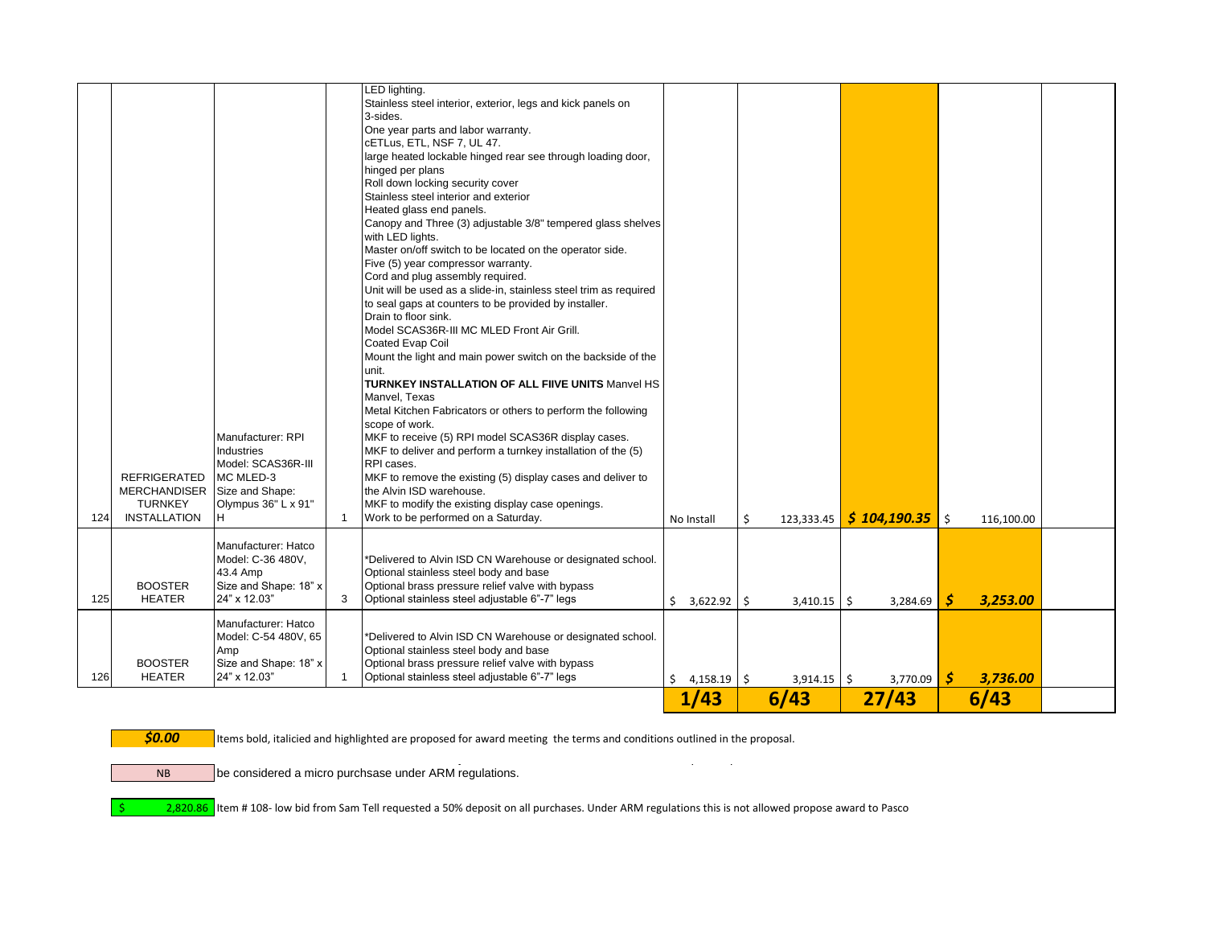|     |                                                                                              | Manufacturer: RPI<br>Industries<br>Model: SCAS36R-III                                         |              | Mount the light and main power switch on the backside of the<br>unit.<br><b>TURNKEY INSTALLATION OF ALL FIIVE UNITS Manvel HS</b><br>Manvel, Texas<br>Metal Kitchen Fabricators or others to perform the following<br>scope of work.<br>MKF to receive (5) RPI model SCAS36R display cases.<br>MKF to deliver and perform a turnkey installation of the (5)<br>RPI cases. |                              |                  |                   |    |            |  |
|-----|----------------------------------------------------------------------------------------------|-----------------------------------------------------------------------------------------------|--------------|---------------------------------------------------------------------------------------------------------------------------------------------------------------------------------------------------------------------------------------------------------------------------------------------------------------------------------------------------------------------------|------------------------------|------------------|-------------------|----|------------|--|
| 124 | <b>REFRIGERATED</b><br>MERCHANDISER Size and Shape:<br><b>TURNKEY</b><br><b>INSTALLATION</b> | MC MLED-3<br>Olympus 36" L x 91"<br>H                                                         | $\mathbf{1}$ | MKF to remove the existing (5) display cases and deliver to<br>the Alvin ISD warehouse.<br>MKF to modify the existing display case openings.<br>Work to be performed on a Saturday.                                                                                                                                                                                       | No Install                   | \$<br>123,333.45 | $$104,190.35$ \\$ |    | 116,100.00 |  |
| 125 | <b>BOOSTER</b><br><b>HEATER</b>                                                              | Manufacturer: Hatco<br>Model: C-36 480V,<br>43.4 Amp<br>Size and Shape: 18" x<br>24" x 12.03" | 3            | *Delivered to Alvin ISD CN Warehouse or designated school.<br>Optional stainless steel body and base<br>Optional brass pressure relief valve with bypass<br>Optional stainless steel adjustable 6"-7" legs                                                                                                                                                                | $5$ 3.622.92 \ $\frac{1}{5}$ | $3.410.15$ \$    | 3.284.69          | S  | 3.253.00   |  |
| 126 | <b>BOOSTER</b><br><b>HEATER</b>                                                              | Manufacturer: Hatco<br>Model: C-54 480V, 65<br>Amp<br>Size and Shape: 18" x<br>24" x 12.03"   |              | *Delivered to Alvin ISD CN Warehouse or designated school.<br>Optional stainless steel body and base<br>Optional brass pressure relief valve with bypass<br>Optional stainless steel adjustable 6"-7" legs                                                                                                                                                                | \$<br>$4,158.19$ \$          | $3,914.15$ \$    | 3,770.09          | -Ś | 3,736.00   |  |
|     |                                                                                              |                                                                                               |              |                                                                                                                                                                                                                                                                                                                                                                           | 1/43                         | 6/43             | 27/43             |    | 6/43       |  |

NB

**\$0.00** Items bold, italicied and highlighted are proposed for award meeting the terms and conditions outlined in the proposal.

Line items 107A, 107B, 107D were a No Bid by all vendors, these line items, should we require to purchase them will be considered a micro purchsase under ARM regulations.

\$ 2,820.86 Item # 108- low bid from Sam Tell requested a 50% deposit on all purchases. Under ARM regulations this is not allowed propose award to Pasco